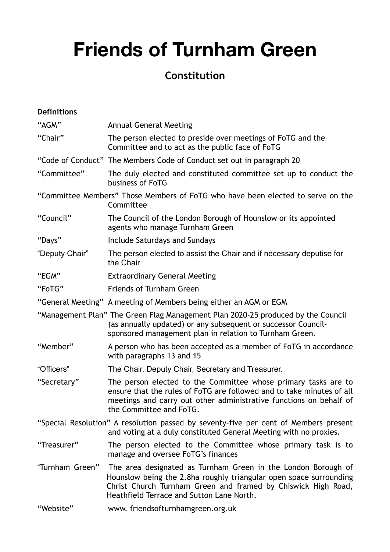# **Friends of Turnham Green**

# **Constitution**

| <b>Definitions</b>                                                                           |                                                                                                                                                                                                                                                   |
|----------------------------------------------------------------------------------------------|---------------------------------------------------------------------------------------------------------------------------------------------------------------------------------------------------------------------------------------------------|
| "AGM"                                                                                        | <b>Annual General Meeting</b>                                                                                                                                                                                                                     |
| "Chair"                                                                                      | The person elected to preside over meetings of FoTG and the<br>Committee and to act as the public face of FoTG                                                                                                                                    |
|                                                                                              | "Code of Conduct" The Members Code of Conduct set out in paragraph 20                                                                                                                                                                             |
| "Committee"                                                                                  | The duly elected and constituted committee set up to conduct the<br>business of FoTG                                                                                                                                                              |
| "Committee Members" Those Members of FoTG who have been elected to serve on the<br>Committee |                                                                                                                                                                                                                                                   |
| "Council"                                                                                    | The Council of the London Borough of Hounslow or its appointed<br>agents who manage Turnham Green                                                                                                                                                 |
| "Days"                                                                                       | Include Saturdays and Sundays                                                                                                                                                                                                                     |
| "Deputy Chair"                                                                               | The person elected to assist the Chair and if necessary deputise for<br>the Chair                                                                                                                                                                 |
| "EGM"                                                                                        | <b>Extraordinary General Meeting</b>                                                                                                                                                                                                              |
| "FoTG"                                                                                       | <b>Friends of Turnham Green</b>                                                                                                                                                                                                                   |
|                                                                                              | "General Meeting" A meeting of Members being either an AGM or EGM                                                                                                                                                                                 |
|                                                                                              | "Management Plan" The Green Flag Management Plan 2020-25 produced by the Council<br>(as annually updated) or any subsequent or successor Council-<br>sponsored management plan in relation to Turnham Green.                                      |
| "Member"                                                                                     | A person who has been accepted as a member of FoTG in accordance<br>with paragraphs 13 and 15                                                                                                                                                     |
| "Officers"                                                                                   | The Chair, Deputy Chair, Secretary and Treasurer.                                                                                                                                                                                                 |
| "Secretary"                                                                                  | The person elected to the Committee whose primary tasks are to<br>ensure that the rules of FoTG are followed and to take minutes of all<br>meetings and carry out other administrative functions on behalf of<br>the Committee and FoTG.          |
|                                                                                              | "Special Resolution" A resolution passed by seventy-five per cent of Members present<br>and voting at a duly constituted General Meeting with no proxies.                                                                                         |
| "Treasurer"                                                                                  | The person elected to the Committee whose primary task is to<br>manage and oversee FoTG's finances                                                                                                                                                |
| "Turnham Green"                                                                              | The area designated as Turnham Green in the London Borough of<br>Hounslow being the 2.8ha roughly triangular open space surrounding<br>Christ Church Turnham Green and framed by Chiswick High Road,<br>Heathfield Terrace and Sutton Lane North. |
| "Website"                                                                                    | www.friendsofturnhamgreen.org.uk                                                                                                                                                                                                                  |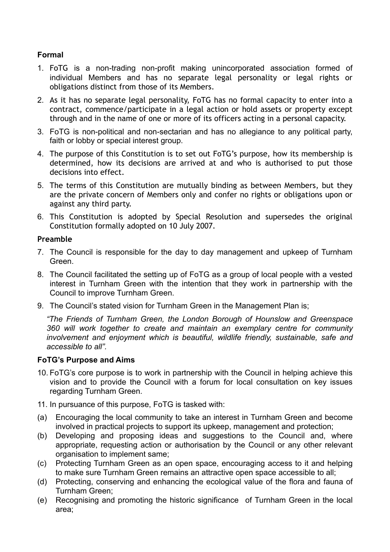# **Formal**

- 1. FoTG is a non-trading non-profit making unincorporated association formed of individual Members and has no separate legal personality or legal rights or obligations distinct from those of its Members.
- 2. As it has no separate legal personality, FoTG has no formal capacity to enter into a contract, commence/participate in a legal action or hold assets or property except through and in the name of one or more of its officers acting in a personal capacity.
- 3. FoTG is non-political and non-sectarian and has no allegiance to any political party, faith or lobby or special interest group.
- 4. The purpose of this Constitution is to set out FoTG's purpose, how its membership is determined, how its decisions are arrived at and who is authorised to put those decisions into effect.
- 5. The terms of this Constitution are mutually binding as between Members, but they are the private concern of Members only and confer no rights or obligations upon or against any third party.
- 6. This Constitution is adopted by Special Resolution and supersedes the original Constitution formally adopted on 10 July 2007.

# **Preamble**

- 7. The Council is responsible for the day to day management and upkeep of Turnham Green.
- 8. The Council facilitated the setting up of FoTG as a group of local people with a vested interest in Turnham Green with the intention that they work in partnership with the Council to improve Turnham Green.
- 9. The Council's stated vision for Turnham Green in the Management Plan is;

*"The Friends of Turnham Green, the London Borough of Hounslow and Greenspace 360 will work together to create and maintain an exemplary centre for community involvement and enjoyment which is beautiful, wildlife friendly, sustainable, safe and accessible to all".* 

# **FoTG's Purpose and Aims**

- 10. FoTG's core purpose is to work in partnership with the Council in helping achieve this vision and to provide the Council with a forum for local consultation on key issues regarding Turnham Green.
- 11. In pursuance of this purpose, FoTG is tasked with:
- (a) Encouraging the local community to take an interest in Turnham Green and become involved in practical projects to support its upkeep, management and protection;
- (b) Developing and proposing ideas and suggestions to the Council and, where appropriate, requesting action or authorisation by the Council or any other relevant organisation to implement same;
- (c) Protecting Turnham Green as an open space, encouraging access to it and helping to make sure Turnham Green remains an attractive open space accessible to all;
- (d) Protecting, conserving and enhancing the ecological value of the flora and fauna of Turnham Green;
- (e) Recognising and promoting the historic significance of Turnham Green in the local area;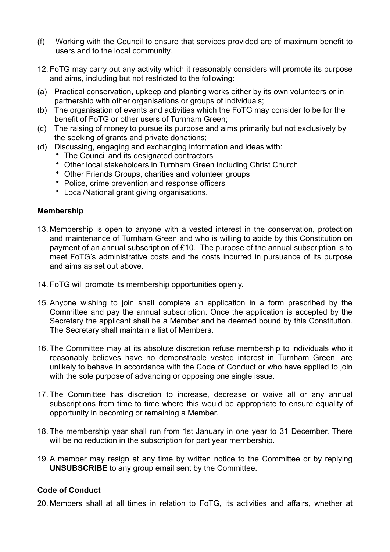- (f) Working with the Council to ensure that services provided are of maximum benefit to users and to the local community.
- 12. FoTG may carry out any activity which it reasonably considers will promote its purpose and aims, including but not restricted to the following:
- (a) Practical conservation, upkeep and planting works either by its own volunteers or in partnership with other organisations or groups of individuals;
- (b) The organisation of events and activities which the FoTG may consider to be for the benefit of FoTG or other users of Turnham Green;
- (c) The raising of money to pursue its purpose and aims primarily but not exclusively by the seeking of grants and private donations;
- (d) Discussing, engaging and exchanging information and ideas with:
	- The Council and its designated contractors
	- Other local stakeholders in Turnham Green including Christ Church
	- Other Friends Groups, charities and volunteer groups
	- Police, crime prevention and response officers
	- Local/National grant giving organisations.

#### **Membership**

- 13. Membership is open to anyone with a vested interest in the conservation, protection and maintenance of Turnham Green and who is willing to abide by this Constitution on payment of an annual subscription of £10. The purpose of the annual subscription is to meet FoTG's administrative costs and the costs incurred in pursuance of its purpose and aims as set out above.
- 14. FoTG will promote its membership opportunities openly.
- 15. Anyone wishing to join shall complete an application in a form prescribed by the Committee and pay the annual subscription. Once the application is accepted by the Secretary the applicant shall be a Member and be deemed bound by this Constitution. The Secretary shall maintain a list of Members.
- 16. The Committee may at its absolute discretion refuse membership to individuals who it reasonably believes have no demonstrable vested interest in Turnham Green, are unlikely to behave in accordance with the Code of Conduct or who have applied to join with the sole purpose of advancing or opposing one single issue.
- 17. The Committee has discretion to increase, decrease or waive all or any annual subscriptions from time to time where this would be appropriate to ensure equality of opportunity in becoming or remaining a Member.
- 18. The membership year shall run from 1st January in one year to 31 December. There will be no reduction in the subscription for part year membership.
- 19. A member may resign at any time by written notice to the Committee or by replying **UNSUBSCRIBE** to any group email sent by the Committee.

# **Code of Conduct**

20. Members shall at all times in relation to FoTG, its activities and affairs, whether at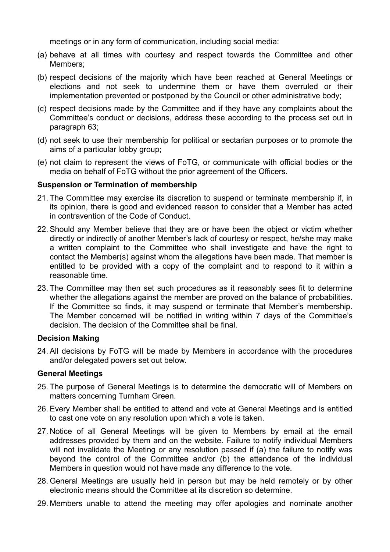meetings or in any form of communication, including social media:

- (a) behave at all times with courtesy and respect towards the Committee and other Members;
- (b) respect decisions of the majority which have been reached at General Meetings or elections and not seek to undermine them or have them overruled or their implementation prevented or postponed by the Council or other administrative body;
- (c) respect decisions made by the Committee and if they have any complaints about the Committee's conduct or decisions, address these according to the process set out in paragraph 63;
- (d) not seek to use their membership for political or sectarian purposes or to promote the aims of a particular lobby group;
- (e) not claim to represent the views of FoTG, or communicate with official bodies or the media on behalf of FoTG without the prior agreement of the Officers.

#### **Suspension or Termination of membership**

- 21. The Committee may exercise its discretion to suspend or terminate membership if, in its opinion, there is good and evidenced reason to consider that a Member has acted in contravention of the Code of Conduct.
- 22. Should any Member believe that they are or have been the object or victim whether directly or indirectly of another Member's lack of courtesy or respect, he/she may make a written complaint to the Committee who shall investigate and have the right to contact the Member(s) against whom the allegations have been made. That member is entitled to be provided with a copy of the complaint and to respond to it within a reasonable time.
- 23. The Committee may then set such procedures as it reasonably sees fit to determine whether the allegations against the member are proved on the balance of probabilities. If the Committee so finds, it may suspend or terminate that Member's membership. The Member concerned will be notified in writing within 7 days of the Committee's decision. The decision of the Committee shall be final.

#### **Decision Making**

24. All decisions by FoTG will be made by Members in accordance with the procedures and/or delegated powers set out below.

#### **General Meetings**

- 25. The purpose of General Meetings is to determine the democratic will of Members on matters concerning Turnham Green.
- 26. Every Member shall be entitled to attend and vote at General Meetings and is entitled to cast one vote on any resolution upon which a vote is taken.
- 27. Notice of all General Meetings will be given to Members by email at the email addresses provided by them and on the website. Failure to notify individual Members will not invalidate the Meeting or any resolution passed if (a) the failure to notify was beyond the control of the Committee and/or (b) the attendance of the individual Members in question would not have made any difference to the vote.
- 28. General Meetings are usually held in person but may be held remotely or by other electronic means should the Committee at its discretion so determine.
- 29. Members unable to attend the meeting may offer apologies and nominate another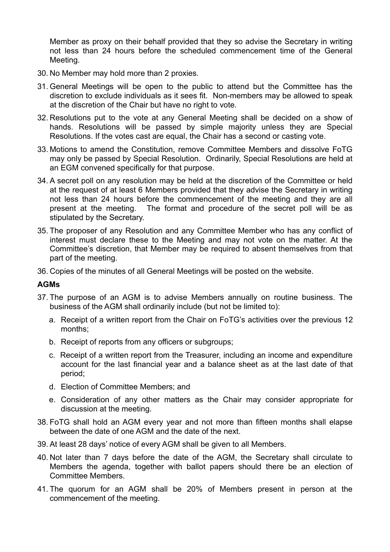Member as proxy on their behalf provided that they so advise the Secretary in writing not less than 24 hours before the scheduled commencement time of the General Meeting.

- 30. No Member may hold more than 2 proxies.
- 31. General Meetings will be open to the public to attend but the Committee has the discretion to exclude individuals as it sees fit. Non-members may be allowed to speak at the discretion of the Chair but have no right to vote.
- 32. Resolutions put to the vote at any General Meeting shall be decided on a show of hands. Resolutions will be passed by simple majority unless they are Special Resolutions. If the votes cast are equal, the Chair has a second or casting vote.
- 33. Motions to amend the Constitution, remove Committee Members and dissolve FoTG may only be passed by Special Resolution. Ordinarily, Special Resolutions are held at an EGM convened specifically for that purpose.
- 34. A secret poll on any resolution may be held at the discretion of the Committee or held at the request of at least 6 Members provided that they advise the Secretary in writing not less than 24 hours before the commencement of the meeting and they are all present at the meeting. The format and procedure of the secret poll will be as stipulated by the Secretary.
- 35. The proposer of any Resolution and any Committee Member who has any conflict of interest must declare these to the Meeting and may not vote on the matter. At the Committee's discretion, that Member may be required to absent themselves from that part of the meeting.
- 36. Copies of the minutes of all General Meetings will be posted on the website.

#### **AGMs**

- 37. The purpose of an AGM is to advise Members annually on routine business. The business of the AGM shall ordinarily include (but not be limited to):
	- a. Receipt of a written report from the Chair on FoTG's activities over the previous 12 months;
	- b. Receipt of reports from any officers or subgroups;
	- c. Receipt of a written report from the Treasurer, including an income and expenditure account for the last financial year and a balance sheet as at the last date of that period;
	- d. Election of Committee Members; and
	- e. Consideration of any other matters as the Chair may consider appropriate for discussion at the meeting.
- 38. FoTG shall hold an AGM every year and not more than fifteen months shall elapse between the date of one AGM and the date of the next.
- 39. At least 28 days' notice of every AGM shall be given to all Members.
- 40. Not later than 7 days before the date of the AGM, the Secretary shall circulate to Members the agenda, together with ballot papers should there be an election of Committee Members.
- 41. The quorum for an AGM shall be 20% of Members present in person at the commencement of the meeting.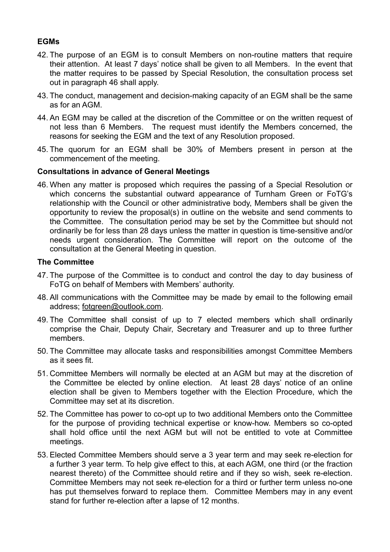# **EGMs**

- 42. The purpose of an EGM is to consult Members on non-routine matters that require their attention. At least 7 days' notice shall be given to all Members. In the event that the matter requires to be passed by Special Resolution, the consultation process set out in paragraph 46 shall apply.
- 43. The conduct, management and decision-making capacity of an EGM shall be the same as for an AGM.
- 44. An EGM may be called at the discretion of the Committee or on the written request of not less than 6 Members. The request must identify the Members concerned, the reasons for seeking the EGM and the text of any Resolution proposed.
- 45. The quorum for an EGM shall be 30% of Members present in person at the commencement of the meeting.

# **Consultations in advance of General Meetings**

46. When any matter is proposed which requires the passing of a Special Resolution or which concerns the substantial outward appearance of Turnham Green or FoTG's relationship with the Council or other administrative body, Members shall be given the opportunity to review the proposal(s) in outline on the website and send comments to the Committee. The consultation period may be set by the Committee but should not ordinarily be for less than 28 days unless the matter in question is time-sensitive and/or needs urgent consideration. The Committee will report on the outcome of the consultation at the General Meeting in question.

#### **The Committee**

- 47. The purpose of the Committee is to conduct and control the day to day business of FoTG on behalf of Members with Members' authority.
- 48. All communications with the Committee may be made by email to the following email address; [fotgreen@outlook.com.](mailto:fotgreen@outlook.com)
- 49. The Committee shall consist of up to 7 elected members which shall ordinarily comprise the Chair, Deputy Chair, Secretary and Treasurer and up to three further members.
- 50. The Committee may allocate tasks and responsibilities amongst Committee Members as it sees fit.
- 51. Committee Members will normally be elected at an AGM but may at the discretion of the Committee be elected by online election. At least 28 days' notice of an online election shall be given to Members together with the Election Procedure, which the Committee may set at its discretion.
- 52. The Committee has power to co-opt up to two additional Members onto the Committee for the purpose of providing technical expertise or know-how. Members so co-opted shall hold office until the next AGM but will not be entitled to vote at Committee meetings.
- 53. Elected Committee Members should serve a 3 year term and may seek re-election for a further 3 year term. To help give effect to this, at each AGM, one third (or the fraction nearest thereto) of the Committee should retire and if they so wish, seek re-election. Committee Members may not seek re-election for a third or further term unless no-one has put themselves forward to replace them. Committee Members may in any event stand for further re-election after a lapse of 12 months.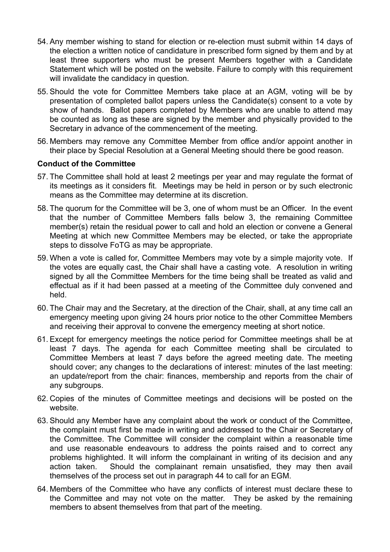- 54. Any member wishing to stand for election or re-election must submit within 14 days of the election a written notice of candidature in prescribed form signed by them and by at least three supporters who must be present Members together with a Candidate Statement which will be posted on the website. Failure to comply with this requirement will invalidate the candidacy in question.
- 55. Should the vote for Committee Members take place at an AGM, voting will be by presentation of completed ballot papers unless the Candidate(s) consent to a vote by show of hands. Ballot papers completed by Members who are unable to attend may be counted as long as these are signed by the member and physically provided to the Secretary in advance of the commencement of the meeting.
- 56. Members may remove any Committee Member from office and/or appoint another in their place by Special Resolution at a General Meeting should there be good reason.

# **Conduct of the Committee**

- 57. The Committee shall hold at least 2 meetings per year and may regulate the format of its meetings as it considers fit. Meetings may be held in person or by such electronic means as the Committee may determine at its discretion.
- 58. The quorum for the Committee will be 3, one of whom must be an Officer. In the event that the number of Committee Members falls below 3, the remaining Committee member(s) retain the residual power to call and hold an election or convene a General Meeting at which new Committee Members may be elected, or take the appropriate steps to dissolve FoTG as may be appropriate.
- 59. When a vote is called for, Committee Members may vote by a simple majority vote. If the votes are equally cast, the Chair shall have a casting vote. A resolution in writing signed by all the Committee Members for the time being shall be treated as valid and effectual as if it had been passed at a meeting of the Committee duly convened and held.
- 60. The Chair may and the Secretary, at the direction of the Chair, shall, at any time call an emergency meeting upon giving 24 hours prior notice to the other Committee Members and receiving their approval to convene the emergency meeting at short notice.
- 61. Except for emergency meetings the notice period for Committee meetings shall be at least 7 days. The agenda for each Committee meeting shall be circulated to Committee Members at least 7 days before the agreed meeting date. The meeting should cover; any changes to the declarations of interest: minutes of the last meeting: an update/report from the chair: finances, membership and reports from the chair of any subgroups.
- 62. Copies of the minutes of Committee meetings and decisions will be posted on the website.
- 63. Should any Member have any complaint about the work or conduct of the Committee, the complaint must first be made in writing and addressed to the Chair or Secretary of the Committee. The Committee will consider the complaint within a reasonable time and use reasonable endeavours to address the points raised and to correct any problems highlighted. It will inform the complainant in writing of its decision and any action taken. Should the complainant remain unsatisfied, they may then avail themselves of the process set out in paragraph 44 to call for an EGM.
- 64. Members of the Committee who have any conflicts of interest must declare these to the Committee and may not vote on the matter. They be asked by the remaining members to absent themselves from that part of the meeting.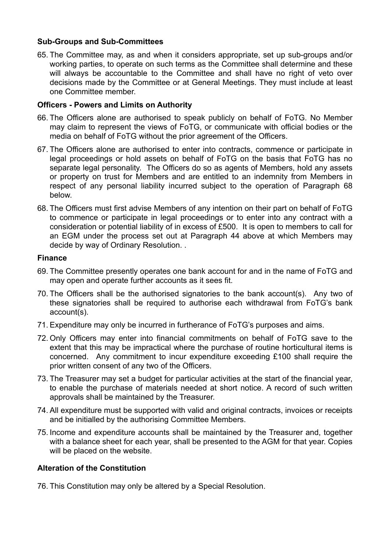# **Sub-Groups and Sub-Committees**

65. The Committee may, as and when it considers appropriate, set up sub-groups and/or working parties, to operate on such terms as the Committee shall determine and these will always be accountable to the Committee and shall have no right of veto over decisions made by the Committee or at General Meetings. They must include at least one Committee member.

#### **Officers - Powers and Limits on Authority**

- 66. The Officers alone are authorised to speak publicly on behalf of FoTG. No Member may claim to represent the views of FoTG, or communicate with official bodies or the media on behalf of FoTG without the prior agreement of the Officers.
- 67. The Officers alone are authorised to enter into contracts, commence or participate in legal proceedings or hold assets on behalf of FoTG on the basis that FoTG has no separate legal personality. The Officers do so as agents of Members, hold any assets or property on trust for Members and are entitled to an indemnity from Members in respect of any personal liability incurred subject to the operation of Paragraph 68 below.
- 68. The Officers must first advise Members of any intention on their part on behalf of FoTG to commence or participate in legal proceedings or to enter into any contract with a consideration or potential liability of in excess of £500. It is open to members to call for an EGM under the process set out at Paragraph 44 above at which Members may decide by way of Ordinary Resolution. .

#### **Finance**

- 69. The Committee presently operates one bank account for and in the name of FoTG and may open and operate further accounts as it sees fit.
- 70. The Officers shall be the authorised signatories to the bank account(s). Any two of these signatories shall be required to authorise each withdrawal from FoTG's bank account(s).
- 71. Expenditure may only be incurred in furtherance of FoTG's purposes and aims.
- 72. Only Officers may enter into financial commitments on behalf of FoTG save to the extent that this may be impractical where the purchase of routine horticultural items is concerned. Any commitment to incur expenditure exceeding £100 shall require the prior written consent of any two of the Officers.
- 73. The Treasurer may set a budget for particular activities at the start of the financial year, to enable the purchase of materials needed at short notice. A record of such written approvals shall be maintained by the Treasurer.
- 74. All expenditure must be supported with valid and original contracts, invoices or receipts and be initialled by the authorising Committee Members.
- 75. Income and expenditure accounts shall be maintained by the Treasurer and, together with a balance sheet for each year, shall be presented to the AGM for that year. Copies will be placed on the website.

# **Alteration of the Constitution**

76. This Constitution may only be altered by a Special Resolution.